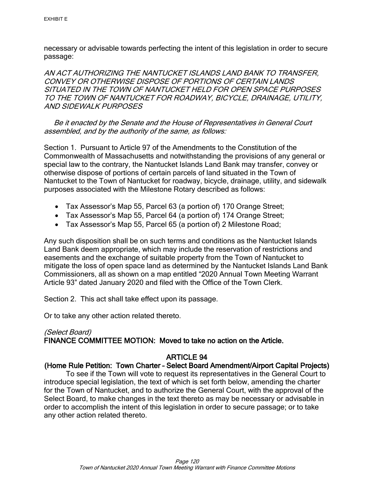necessary or advisable towards perfecting the intent of this legislation in order to secure passage:

AN ACT AUTHORIZING THE NANTUCKET ISLANDS LAND BANK TO TRANSFER, CONVEY OR OTHERWISE DISPOSE OF PORTIONS OF CERTAIN LANDS SITUATED IN THE TOWN OF NANTUCKET HELD FOR OPEN SPACE PURPOSES TO THE TOWN OF NANTUCKET FOR ROADWAY, BICYCLE, DRAINAGE, UTILITY, AND SIDEWALK PURPOSES

 Be it enacted by the Senate and the House of Representatives in General Court assembled, and by the authority of the same, as follows:

Section 1. Pursuant to Article 97 of the Amendments to the Constitution of the Commonwealth of Massachusetts and notwithstanding the provisions of any general or special law to the contrary, the Nantucket Islands Land Bank may transfer, convey or otherwise dispose of portions of certain parcels of land situated in the Town of Nantucket to the Town of Nantucket for roadway, bicycle, drainage, utility, and sidewalk purposes associated with the Milestone Rotary described as follows:

- Tax Assessor's Map 55, Parcel 63 (a portion of) 170 Orange Street;
- Tax Assessor's Map 55, Parcel 64 (a portion of) 174 Orange Street;
- Tax Assessor's Map 55, Parcel 65 (a portion of) 2 Milestone Road;

Any such disposition shall be on such terms and conditions as the Nantucket Islands Land Bank deem appropriate, which may include the reservation of restrictions and easements and the exchange of suitable property from the Town of Nantucket to mitigate the loss of open space land as determined by the Nantucket Islands Land Bank Commissioners, all as shown on a map entitled "2020 Annual Town Meeting Warrant Article 93" dated January 2020 and filed with the Office of the Town Clerk.

Section 2. This act shall take effect upon its passage.

Or to take any other action related thereto.

# (Select Board)

## FINANCE COMMITTEE MOTION: Moved to take no action on the Article.

## ARTICLE 94

## (Home Rule Petition: Town Charter – Select Board Amendment/Airport Capital Projects)

To see if the Town will vote to request its representatives in the General Court to introduce special legislation, the text of which is set forth below, amending the charter for the Town of Nantucket, and to authorize the General Court, with the approval of the Select Board, to make changes in the text thereto as may be necessary or advisable in order to accomplish the intent of this legislation in order to secure passage; or to take any other action related thereto.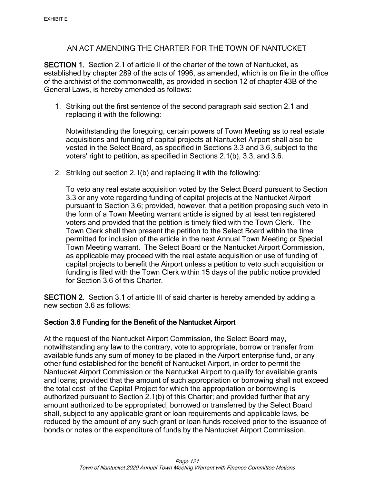# AN ACT AMENDING THE CHARTER FOR THE TOWN OF NANTUCKET

SECTION 1. Section 2.1 of article II of the charter of the town of Nantucket, as established by chapter 289 of the acts of 1996, as amended, which is on file in the office of the archivist of the commonwealth, as provided in section 12 of chapter 43B of the General Laws, is hereby amended as follows:

1. Striking out the first sentence of the second paragraph said section 2.1 and replacing it with the following:

Notwithstanding the foregoing, certain powers of Town Meeting as to real estate acquisitions and funding of capital projects at Nantucket Airport shall also be vested in the Select Board, as specified in Sections 3.3 and 3.6, subject to the voters' right to petition, as specified in Sections 2.1(b), 3.3, and 3.6.

2. Striking out section 2.1(b) and replacing it with the following:

To veto any real estate acquisition voted by the Select Board pursuant to Section 3.3 or any vote regarding funding of capital projects at the Nantucket Airport pursuant to Section 3.6; provided, however, that a petition proposing such veto in the form of a Town Meeting warrant article is signed by at least ten registered voters and provided that the petition is timely filed with the Town Clerk. The Town Clerk shall then present the petition to the Select Board within the time permitted for inclusion of the article in the next Annual Town Meeting or Special Town Meeting warrant. The Select Board or the Nantucket Airport Commission, as applicable may proceed with the real estate acquisition or use of funding of capital projects to benefit the Airport unless a petition to veto such acquisition or funding is filed with the Town Clerk within 15 days of the public notice provided for Section 3.6 of this Charter.

SECTION 2. Section 3.1 of article III of said charter is hereby amended by adding a new section 3.6 as follows:

# Section 3.6 Funding for the Benefit of the Nantucket Airport

At the request of the Nantucket Airport Commission, the Select Board may, notwithstanding any law to the contrary, vote to appropriate, borrow or transfer from available funds any sum of money to be placed in the Airport enterprise fund, or any other fund established for the benefit of Nantucket Airport, in order to permit the Nantucket Airport Commission or the Nantucket Airport to qualify for available grants and loans; provided that the amount of such appropriation or borrowing shall not exceed the total cost of the Capital Project for which the appropriation or borrowing is authorized pursuant to Section 2.1(b) of this Charter; and provided further that any amount authorized to be appropriated, borrowed or transferred by the Select Board shall, subject to any applicable grant or loan requirements and applicable laws, be reduced by the amount of any such grant or loan funds received prior to the issuance of bonds or notes or the expenditure of funds by the Nantucket Airport Commission.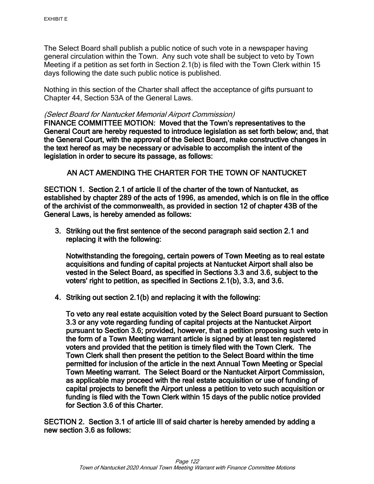The Select Board shall publish a public notice of such vote in a newspaper having general circulation within the Town. Any such vote shall be subject to veto by Town Meeting if a petition as set forth in Section 2.1(b) is filed with the Town Clerk within 15 days following the date such public notice is published.

Nothing in this section of the Charter shall affect the acceptance of gifts pursuant to Chapter 44, Section 53A of the General Laws.

#### (Select Board for Nantucket Memorial Airport Commission)

FINANCE COMMITTEE MOTION: Moved that the Town's representatives to the General Court are hereby requested to introduce legislation as set forth below; and, that the General Court, with the approval of the Select Board, make constructive changes in the text hereof as may be necessary or advisable to accomplish the intent of the legislation in order to secure its passage, as follows:

## AN ACT AMENDING THE CHARTER FOR THE TOWN OF NANTUCKET

SECTION 1. Section 2.1 of article II of the charter of the town of Nantucket, as established by chapter 289 of the acts of 1996, as amended, which is on file in the office of the archivist of the commonwealth, as provided in section 12 of chapter 43B of the General Laws, is hereby amended as follows:

3. Striking out the first sentence of the second paragraph said section 2.1 and replacing it with the following:

Notwithstanding the foregoing, certain powers of Town Meeting as to real estate acquisitions and funding of capital projects at Nantucket Airport shall also be vested in the Select Board, as specified in Sections 3.3 and 3.6, subject to the voters' right to petition, as specified in Sections 2.1(b), 3.3, and 3.6.

4. Striking out section 2.1(b) and replacing it with the following:

To veto any real estate acquisition voted by the Select Board pursuant to Section 3.3 or any vote regarding funding of capital projects at the Nantucket Airport pursuant to Section 3.6; provided, however, that a petition proposing such veto in the form of a Town Meeting warrant article is signed by at least ten registered voters and provided that the petition is timely filed with the Town Clerk. The Town Clerk shall then present the petition to the Select Board within the time permitted for inclusion of the article in the next Annual Town Meeting or Special Town Meeting warrant. The Select Board or the Nantucket Airport Commission, as applicable may proceed with the real estate acquisition or use of funding of capital projects to benefit the Airport unless a petition to veto such acquisition or funding is filed with the Town Clerk within 15 days of the public notice provided for Section 3.6 of this Charter.

SECTION 2. Section 3.1 of article III of said charter is hereby amended by adding a new section 3.6 as follows: